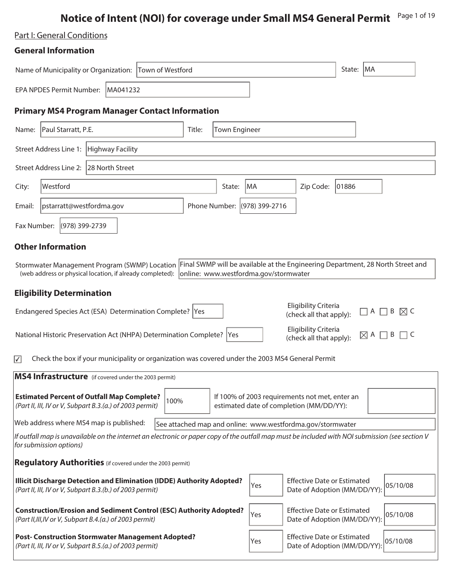#### Part I: General Conditions

#### **General Information**

| Name of Municipality or Organization: Town of Westford |  | State: IMA |  |
|--------------------------------------------------------|--|------------|--|
| EPA NPDES Permit Number: MA041232                      |  |            |  |

### **Primary MS4 Program Manager Contact Information**

| Name:       | Paul Starratt, P.E.      |                                         | Title: |        | <b>Town Engineer</b>         |           |       |  |  |  |
|-------------|--------------------------|-----------------------------------------|--------|--------|------------------------------|-----------|-------|--|--|--|
|             |                          | Street Address Line 1: Highway Facility |        |        |                              |           |       |  |  |  |
|             |                          | Street Address Line 2: 28 North Street  |        |        |                              |           |       |  |  |  |
| City:       | Westford                 |                                         |        | State: | <b>MA</b>                    | Zip Code: | 01886 |  |  |  |
| Email:      | pstarratt@westfordma.gov |                                         |        |        | Phone Number: (978) 399-2716 |           |       |  |  |  |
| Fax Number: | (978) 399-2739           |                                         |        |        |                              |           |       |  |  |  |

#### **Other Information**

Stormwater Management Program (SWMP) Location Final SWMP will be available at the Engineering Department, 28 North Street and (web address or physical location, if already completed): |online: www.westfordma.gov/stormwater

#### **Eligibility Determination**

| Endangered Species Act (ESA) Determination Complete?   Yes             | <b>Eligibility Criteria</b><br>$\exists A \Box B \boxtimes C$<br>(check all that apply):  |
|------------------------------------------------------------------------|-------------------------------------------------------------------------------------------|
| National Historic Preservation Act (NHPA) Determination Complete?  Yes | <b>Eligibility Criteria</b><br>$\boxtimes$ A $\Box$ B $\Box$ C<br>(check all that apply): |

 $\triangledown$  Check the box if your municipality or organization was covered under the 2003 MS4 General Permit

| MS4 Infrastructure (if covered under the 2003 permit)                                                                                                                       |     |                                                                                            |          |  |  |  |  |  |
|-----------------------------------------------------------------------------------------------------------------------------------------------------------------------------|-----|--------------------------------------------------------------------------------------------|----------|--|--|--|--|--|
| <b>Estimated Percent of Outfall Map Complete?</b><br>100%<br>$ $ (Part II, III, IV or V, Subpart B.3.(a.) of 2003 permit)                                                   |     | If 100% of 2003 requirements not met, enter an<br>estimated date of completion (MM/DD/YY): |          |  |  |  |  |  |
| Web address where MS4 map is published:<br>See attached map and online: www.westfordma.gov/stormwater                                                                       |     |                                                                                            |          |  |  |  |  |  |
| If outfall map is unavailable on the internet an electronic or paper copy of the outfall map must be included with NOI submission (see section V<br>for submission options) |     |                                                                                            |          |  |  |  |  |  |
| Regulatory Authorities (if covered under the 2003 permit)                                                                                                                   |     |                                                                                            |          |  |  |  |  |  |
| Illicit Discharge Detection and Elimination (IDDE) Authority Adopted?<br>(Part II, III, IV or V, Subpart B.3.(b.) of 2003 permit)                                           | Yes | <b>Effective Date or Estimated</b><br>Date of Adoption (MM/DD/YY):                         | 05/10/08 |  |  |  |  |  |
| <b>Construction/Erosion and Sediment Control (ESC) Authority Adopted?</b><br>(Part II,III,IV or V, Subpart B.4.(a.) of 2003 permit)                                         | Yes | <b>Effective Date or Estimated</b><br>Date of Adoption (MM/DD/YY):                         | 05/10/08 |  |  |  |  |  |
| <b>Post- Construction Stormwater Management Adopted?</b><br>$\vert$ (Part II, III, IV or V, Subpart B.5.(a.) of 2003 permit)                                                | Yes | <b>Effective Date or Estimated</b><br>Date of Adoption (MM/DD/YY):                         | 05/10/08 |  |  |  |  |  |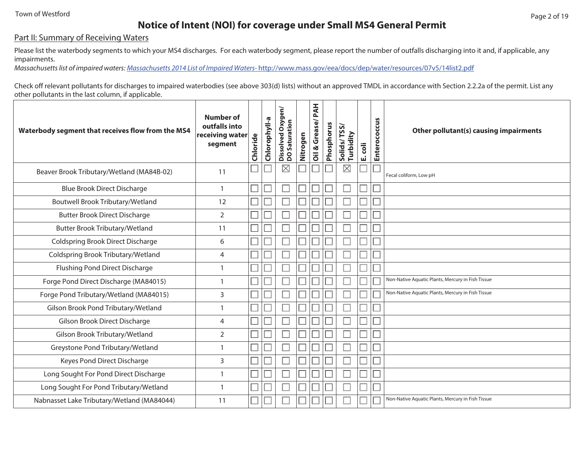#### Town of Westford **Notice of Intent (NOI) for coverage under Small MS4 General Permit**

#### Part II: Summary of Receiving Waters

Please list the waterbody segments to which your MS4 discharges. For each waterbody segment, please report the number of outfalls discharging into it and, if applicable, any impairments.

Massachusetts list of impaired waters: Massachusetts 2014 List of Impaired Waters- http://www.mass.gov/eea/docs/dep/water/resources/07v5/14list2.pdf

Check off relevant pollutants for discharges to impaired waterbodies (see above 303(d) lists) without an approved TMDL in accordance with Section 2.2.2a of the permit. List any other pollutants in the last column, if applicable.

| Waterbody segment that receives flow from the MS4 | Number of<br>outfalls into<br>receiving water<br>segment | Chloride | Chlorophyll-a | Dissolved Oxygen/<br>Saturation<br>$\mathsf{S}$ | Nitrogen | PAH<br>Oil & Grease/ | Phosphorus | Solids/TSS/<br>Turbidity | E. coli | Enterococcus | Other pollutant(s) causing impairments            |
|---------------------------------------------------|----------------------------------------------------------|----------|---------------|-------------------------------------------------|----------|----------------------|------------|--------------------------|---------|--------------|---------------------------------------------------|
| Beaver Brook Tributary/Wetland (MA84B-02)         | 11                                                       |          |               | $\boxtimes$                                     |          |                      |            | $\boxtimes$              |         |              | Fecal coliform, Low pH                            |
| <b>Blue Brook Direct Discharge</b>                | $\mathbf{1}$                                             |          |               |                                                 |          |                      |            |                          |         |              |                                                   |
| <b>Boutwell Brook Tributary/Wetland</b>           | 12                                                       |          |               |                                                 |          |                      |            |                          |         |              |                                                   |
| <b>Butter Brook Direct Discharge</b>              | $\overline{2}$                                           |          |               |                                                 |          |                      |            |                          |         |              |                                                   |
| <b>Butter Brook Tributary/Wetland</b>             | 11                                                       |          |               |                                                 |          |                      |            |                          |         |              |                                                   |
| Coldspring Brook Direct Discharge                 | 6                                                        |          |               |                                                 |          |                      |            |                          |         |              |                                                   |
| Coldspring Brook Tributary/Wetland                | $\overline{4}$                                           |          |               |                                                 |          |                      |            |                          |         |              |                                                   |
| Flushing Pond Direct Discharge                    | $\mathbf{1}$                                             |          |               |                                                 |          |                      |            |                          |         |              |                                                   |
| Forge Pond Direct Discharge (MA84015)             | $\mathbf{1}$                                             |          |               |                                                 |          |                      |            |                          |         |              | Non-Native Aquatic Plants, Mercury in Fish Tissue |
| Forge Pond Tributary/Wetland (MA84015)            | 3                                                        |          |               |                                                 |          |                      |            |                          |         |              | Non-Native Aquatic Plants, Mercury in Fish Tissue |
| Gilson Brook Pond Tributary/Wetland               | $\mathbf{1}$                                             |          |               |                                                 |          |                      |            |                          |         |              |                                                   |
| Gilson Brook Direct Discharge                     | $\overline{4}$                                           |          |               |                                                 |          |                      |            |                          |         |              |                                                   |
| Gilson Brook Tributary/Wetland                    | $\overline{2}$                                           |          |               |                                                 |          |                      |            |                          |         |              |                                                   |
| Greystone Pond Tributary/Wetland                  | $\mathbf{1}$                                             |          |               |                                                 |          |                      |            |                          |         |              |                                                   |
| Keyes Pond Direct Discharge                       | 3                                                        |          |               |                                                 |          |                      |            |                          |         |              |                                                   |
| Long Sought For Pond Direct Discharge             | $\mathbf{1}$                                             |          |               |                                                 |          |                      |            |                          |         |              |                                                   |
| Long Sought For Pond Tributary/Wetland            | $\mathbf{1}$                                             |          |               |                                                 |          |                      |            |                          |         |              |                                                   |
| Nabnasset Lake Tributary/Wetland (MA84044)        | 11                                                       |          |               |                                                 |          |                      |            |                          |         |              | Non-Native Aquatic Plants, Mercury in Fish Tissue |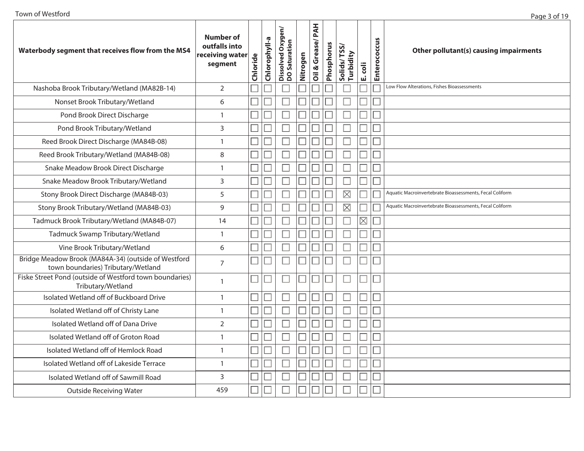| Town of Westford                                                                          |                                                          |          |               |                                    |          |                      |            |                          |             |              | Page 3 of 19                                             |
|-------------------------------------------------------------------------------------------|----------------------------------------------------------|----------|---------------|------------------------------------|----------|----------------------|------------|--------------------------|-------------|--------------|----------------------------------------------------------|
| Waterbody segment that receives flow from the MS4                                         | Number of<br>outfalls into<br>receiving water<br>segment | Chloride | Chlorophyll-a | Dissolved Oxygen/<br>DO Saturation | Nitrogen | PAH<br>Oil & Grease/ | Phosphorus | Solids/TSS/<br>Turbidity | E. coli     | Enterococcus | Other pollutant(s) causing impairments                   |
| Nashoba Brook Tributary/Wetland (MA82B-14)                                                | $\overline{2}$                                           |          |               |                                    |          |                      |            |                          |             |              | Low Flow Alterations, Fishes Bioassessments              |
| Nonset Brook Tributary/Wetland                                                            | 6                                                        |          |               |                                    |          |                      |            |                          |             |              |                                                          |
| Pond Brook Direct Discharge                                                               | $\mathbf{1}$                                             |          |               |                                    |          |                      |            |                          |             |              |                                                          |
| Pond Brook Tributary/Wetland                                                              | 3                                                        |          |               | $\Box$                             |          |                      |            |                          |             |              |                                                          |
| Reed Brook Direct Discharge (MA84B-08)                                                    | $\mathbf{1}$                                             |          |               | Г                                  |          |                      |            |                          |             |              |                                                          |
| Reed Brook Tributary/Wetland (MA84B-08)                                                   | 8                                                        |          |               | $\Box$                             |          |                      |            |                          |             |              |                                                          |
| Snake Meadow Brook Direct Discharge                                                       | $\mathbf{1}$                                             |          |               | $\Box$                             |          |                      |            |                          |             |              |                                                          |
| Snake Meadow Brook Tributary/Wetland                                                      | 3                                                        |          |               |                                    |          |                      |            |                          |             |              |                                                          |
| Stony Brook Direct Discharge (MA84B-03)                                                   | 5                                                        |          |               | Г                                  |          |                      |            | $\boxtimes$              |             |              | Aquatic Macroinvertebrate Bioassessments, Fecal Coliform |
| Stony Brook Tributary/Wetland (MA84B-03)                                                  | 9                                                        |          |               |                                    |          |                      |            | $\boxtimes$              |             |              | Aquatic Macroinvertebrate Bioassessments, Fecal Coliform |
| Tadmuck Brook Tributary/Wetland (MA84B-07)                                                | 14                                                       |          |               | $\Box$                             |          |                      |            | □                        | $\boxtimes$ |              |                                                          |
| Tadmuck Swamp Tributary/Wetland                                                           | $\mathbf{1}$                                             |          |               | Г                                  |          |                      |            |                          |             |              |                                                          |
| Vine Brook Tributary/Wetland                                                              | 6                                                        |          |               | $\Box$                             |          |                      |            |                          |             |              |                                                          |
| Bridge Meadow Brook (MA84A-34) (outside of Westford<br>town boundaries) Tributary/Wetland | $\overline{7}$                                           |          |               |                                    |          |                      |            |                          |             |              |                                                          |
| Fiske Street Pond (outside of Westford town boundaries)<br>Tributary/Wetland              | $\mathbf{1}$                                             |          |               |                                    |          |                      |            | ∃                        | ┐           |              |                                                          |
| Isolated Wetland off of Buckboard Drive                                                   | $\mathbf{1}$                                             |          |               |                                    |          |                      |            |                          | $\Box$      |              |                                                          |
| Isolated Wetland off of Christy Lane                                                      | $\mathbf{1}$                                             |          |               | $\Box$                             |          |                      |            |                          |             |              |                                                          |
| Isolated Wetland off of Dana Drive                                                        | $\overline{2}$                                           |          |               | $\Box$                             |          |                      |            |                          |             |              |                                                          |
| Isolated Wetland off of Groton Road                                                       | $\mathbf{1}$                                             |          |               | $\Box$                             |          |                      |            |                          |             |              |                                                          |
| Isolated Wetland off of Hemlock Road                                                      | $\mathbf{1}$                                             |          |               | $\Box$                             |          |                      |            |                          | I           |              |                                                          |
| Isolated Wetland off of Lakeside Terrace                                                  | $\mathbf{1}$                                             |          |               | $\Box$                             |          |                      |            |                          |             |              |                                                          |
| Isolated Wetland off of Sawmill Road                                                      | 3                                                        |          |               |                                    |          |                      |            |                          |             |              |                                                          |
| <b>Outside Receiving Water</b>                                                            | 459                                                      |          |               |                                    |          |                      |            |                          |             |              |                                                          |

Page 3 of 19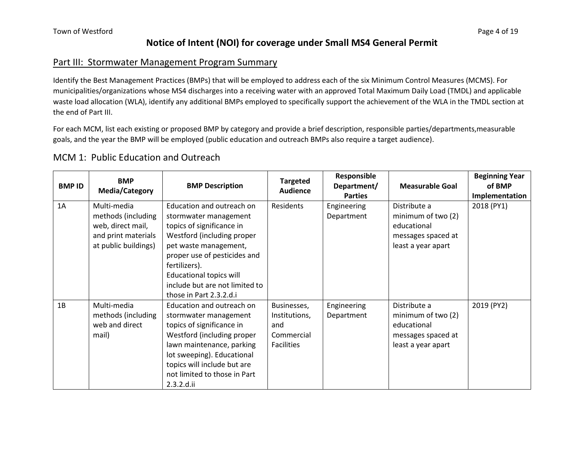#### Part III: Stormwater Management Program Summary

Identify the Best Management Practices (BMPs) that will be employed to address each of the six Minimum Control Measures (MCMS). For municipalities/organizations whose MS4 discharges into a receiving water with an approved Total Maximum Daily Load (TMDL) and applicable waste load allocation (WLA), identify any additional BMPs employed to specifically support the achievement of the WLA in the TMDL section at the end of Part III.

For each MCM, list each existing or proposed BMP by category and provide a brief description, responsible parties/departments,measurable goals, and the year the BMP will be employed (public education and outreach BMPs also require a target audience).

### MCM 1: Public Education and Outreach

| <b>BMPID</b> | <b>BMP</b><br><b>Media/Category</b>                                                                   | <b>BMP Description</b>                                                                                                                                                                                                                                                                 | <b>Targeted</b><br><b>Audience</b>                                     | Responsible<br>Department/<br><b>Parties</b> | <b>Measurable Goal</b>                                                                        | <b>Beginning Year</b><br>of BMP<br>Implementation |
|--------------|-------------------------------------------------------------------------------------------------------|----------------------------------------------------------------------------------------------------------------------------------------------------------------------------------------------------------------------------------------------------------------------------------------|------------------------------------------------------------------------|----------------------------------------------|-----------------------------------------------------------------------------------------------|---------------------------------------------------|
| 1A           | Multi-media<br>methods (including<br>web, direct mail,<br>and print materials<br>at public buildings) | Education and outreach on<br>stormwater management<br>topics of significance in<br>Westford (including proper<br>pet waste management,<br>proper use of pesticides and<br>fertilizers).<br><b>Educational topics will</b><br>include but are not limited to<br>those in Part 2.3.2.d.i | Residents                                                              | Engineering<br>Department                    | Distribute a<br>minimum of two (2)<br>educational<br>messages spaced at<br>least a year apart | 2018 (PY1)                                        |
| 1B           | Multi-media<br>methods (including<br>web and direct<br>mail)                                          | Education and outreach on<br>stormwater management<br>topics of significance in<br>Westford (including proper<br>lawn maintenance, parking<br>lot sweeping). Educational<br>topics will include but are<br>not limited to those in Part<br>2.3.2.d.ii                                  | Businesses,<br>Institutions,<br>and<br>Commercial<br><b>Facilities</b> | Engineering<br>Department                    | Distribute a<br>minimum of two (2)<br>educational<br>messages spaced at<br>least a year apart | 2019 (PY2)                                        |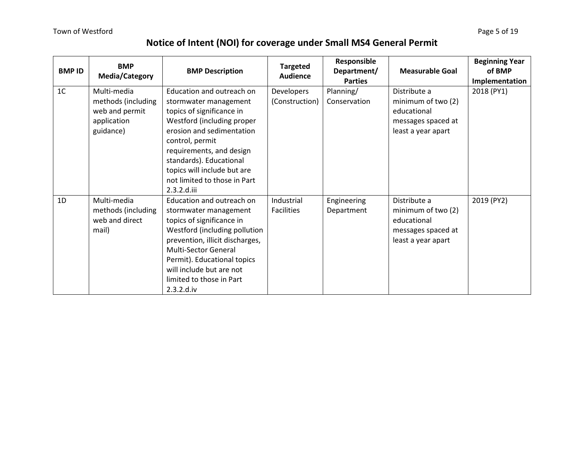| <b>BMPID</b>   | <b>BMP</b><br><b>Media/Category</b>                                             | <b>BMP Description</b>                                                                                                                                                                                                                                                                             | <b>Targeted</b><br><b>Audience</b>  | Responsible<br>Department/<br><b>Parties</b> | <b>Measurable Goal</b>                                                                        | <b>Beginning Year</b><br>of BMP<br>Implementation |
|----------------|---------------------------------------------------------------------------------|----------------------------------------------------------------------------------------------------------------------------------------------------------------------------------------------------------------------------------------------------------------------------------------------------|-------------------------------------|----------------------------------------------|-----------------------------------------------------------------------------------------------|---------------------------------------------------|
| 1 <sup>C</sup> | Multi-media<br>methods (including<br>web and permit<br>application<br>guidance) | Education and outreach on<br>stormwater management<br>topics of significance in<br>Westford (including proper<br>erosion and sedimentation<br>control, permit<br>requirements, and design<br>standards). Educational<br>topics will include but are<br>not limited to those in Part<br>2.3.2.d.iii | <b>Developers</b><br>(Construction) | Planning/<br>Conservation                    | Distribute a<br>minimum of two (2)<br>educational<br>messages spaced at<br>least a year apart | 2018 (PY1)                                        |
| 1D             | Multi-media<br>methods (including<br>web and direct<br>mail)                    | Education and outreach on<br>stormwater management<br>topics of significance in<br>Westford (including pollution<br>prevention, illicit discharges,<br>Multi-Sector General<br>Permit). Educational topics<br>will include but are not<br>limited to those in Part<br>2.3.2.d.iv                   | Industrial<br><b>Facilities</b>     | Engineering<br>Department                    | Distribute a<br>minimum of two (2)<br>educational<br>messages spaced at<br>least a year apart | 2019 (PY2)                                        |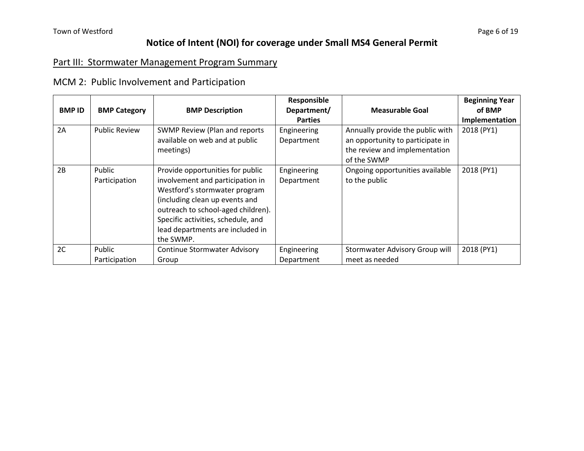## Part III: Stormwater Management Program Summary

### MCM 2: Public Involvement and Participation

| <b>BMPID</b> | <b>BMP Category</b>     | <b>BMP Description</b>                                                                                                                                                                                                                                               | Responsible<br>Department/<br><b>Parties</b> | <b>Measurable Goal</b>                                                                                               | <b>Beginning Year</b><br>of BMP<br>Implementation |
|--------------|-------------------------|----------------------------------------------------------------------------------------------------------------------------------------------------------------------------------------------------------------------------------------------------------------------|----------------------------------------------|----------------------------------------------------------------------------------------------------------------------|---------------------------------------------------|
| 2A           | <b>Public Review</b>    | SWMP Review (Plan and reports<br>available on web and at public<br>meetings)                                                                                                                                                                                         | Engineering<br>Department                    | Annually provide the public with<br>an opportunity to participate in<br>the review and implementation<br>of the SWMP | 2018 (PY1)                                        |
| 2B           | Public<br>Participation | Provide opportunities for public<br>involvement and participation in<br>Westford's stormwater program<br>(including clean up events and<br>outreach to school-aged children).<br>Specific activities, schedule, and<br>lead departments are included in<br>the SWMP. | Engineering<br>Department                    | Ongoing opportunities available<br>to the public                                                                     | 2018 (PY1)                                        |
| 2C           | Public                  | <b>Continue Stormwater Advisory</b>                                                                                                                                                                                                                                  | Engineering                                  | Stormwater Advisory Group will                                                                                       | 2018 (PY1)                                        |
|              | Participation           | Group                                                                                                                                                                                                                                                                | Department                                   | meet as needed                                                                                                       |                                                   |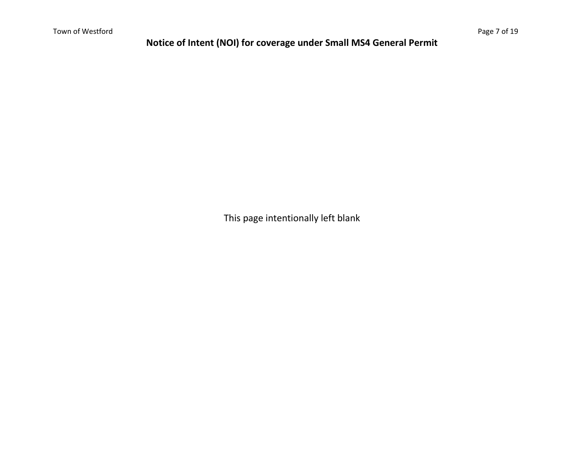This page intentionally left blank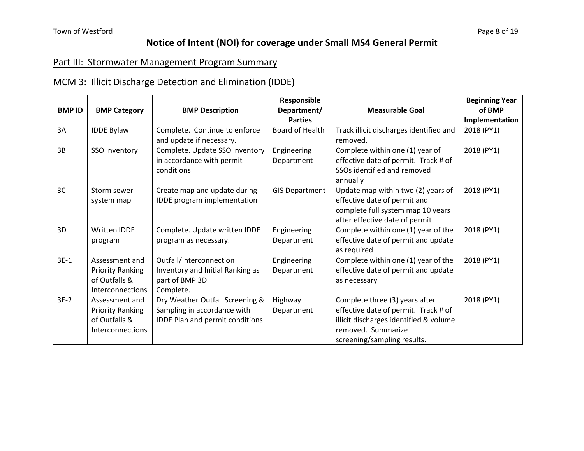## Part III: Stormwater Management Program Summary

## MCM 3: Illicit Discharge Detection and Elimination (IDDE)

| <b>BMPID</b> | <b>BMP Category</b>                                                            | <b>BMP Description</b>                                                                                   | Responsible<br>Department/<br><b>Parties</b> | <b>Measurable Goal</b>                                                                                                                                                | <b>Beginning Year</b><br>of BMP<br>Implementation |
|--------------|--------------------------------------------------------------------------------|----------------------------------------------------------------------------------------------------------|----------------------------------------------|-----------------------------------------------------------------------------------------------------------------------------------------------------------------------|---------------------------------------------------|
| 3A           | <b>IDDE Bylaw</b>                                                              | Complete. Continue to enforce<br>and update if necessary.                                                | Board of Health                              | Track illicit discharges identified and<br>removed.                                                                                                                   | 2018 (PY1)                                        |
| 3B           | SSO Inventory                                                                  | Complete. Update SSO inventory<br>in accordance with permit<br>conditions                                | Engineering<br>Department                    | Complete within one (1) year of<br>effective date of permit. Track # of<br>SSOs identified and removed<br>annually                                                    | 2018 (PY1)                                        |
| 3C           | Storm sewer<br>system map                                                      | Create map and update during<br>IDDE program implementation                                              | <b>GIS Department</b>                        | Update map within two (2) years of<br>effective date of permit and<br>complete full system map 10 years<br>after effective date of permit                             | 2018 (PY1)                                        |
| 3D           | <b>Written IDDE</b><br>program                                                 | Complete. Update written IDDE<br>program as necessary.                                                   | Engineering<br>Department                    | Complete within one (1) year of the<br>effective date of permit and update<br>as required                                                                             | 2018 (PY1)                                        |
| $3E-1$       | Assessment and<br><b>Priority Ranking</b><br>of Outfalls &<br>Interconnections | Outfall/Interconnection<br>Inventory and Initial Ranking as<br>part of BMP 3D<br>Complete.               | Engineering<br>Department                    | Complete within one (1) year of the<br>effective date of permit and update<br>as necessary                                                                            | 2018 (PY1)                                        |
| $3E-2$       | Assessment and<br><b>Priority Ranking</b><br>of Outfalls &<br>Interconnections | Dry Weather Outfall Screening &<br>Sampling in accordance with<br><b>IDDE Plan and permit conditions</b> | Highway<br>Department                        | Complete three (3) years after<br>effective date of permit. Track # of<br>illicit discharges identified & volume<br>removed. Summarize<br>screening/sampling results. | 2018 (PY1)                                        |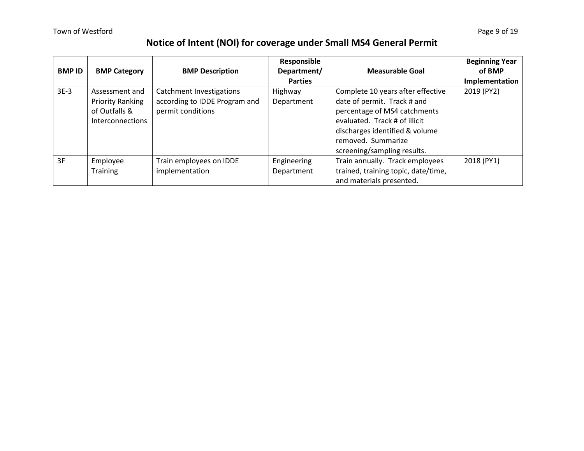| <b>BMPID</b> | <b>BMP Category</b>                                                            | <b>BMP Description</b>                                                         | Responsible<br>Department/<br><b>Parties</b> | Measurable Goal                                                                                                                                                                                                          | <b>Beginning Year</b><br>of BMP<br>Implementation |
|--------------|--------------------------------------------------------------------------------|--------------------------------------------------------------------------------|----------------------------------------------|--------------------------------------------------------------------------------------------------------------------------------------------------------------------------------------------------------------------------|---------------------------------------------------|
| $3E-3$       | Assessment and<br><b>Priority Ranking</b><br>of Outfalls &<br>Interconnections | Catchment Investigations<br>according to IDDE Program and<br>permit conditions | Highway<br>Department                        | Complete 10 years after effective<br>date of permit. Track # and<br>percentage of MS4 catchments<br>evaluated. Track # of illicit<br>discharges identified & volume<br>removed. Summarize<br>screening/sampling results. | 2019 (PY2)                                        |
| 3F           | Employee<br><b>Training</b>                                                    | Train employees on IDDE<br>implementation                                      | Engineering<br>Department                    | Train annually. Track employees<br>trained, training topic, date/time,<br>and materials presented.                                                                                                                       | 2018 (PY1)                                        |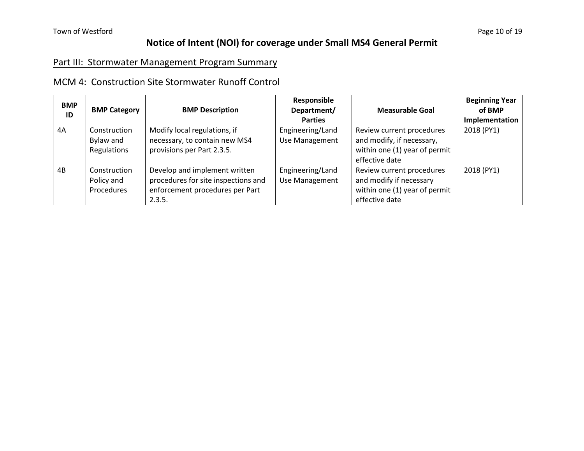# Part III: Stormwater Management Program Summary

## MCM 4: Construction Site Stormwater Runoff Control

| <b>BMP</b><br>ID | <b>BMP Category</b>                      | <b>BMP Description</b>                                                                                            | Responsible<br>Department/<br><b>Parties</b> | Measurable Goal                                                                                           | <b>Beginning Year</b><br>of BMP<br>Implementation |
|------------------|------------------------------------------|-------------------------------------------------------------------------------------------------------------------|----------------------------------------------|-----------------------------------------------------------------------------------------------------------|---------------------------------------------------|
| 4A               | Construction<br>Bylaw and<br>Regulations | Modify local regulations, if<br>necessary, to contain new MS4<br>provisions per Part 2.3.5.                       | Engineering/Land<br>Use Management           | Review current procedures<br>and modify, if necessary,<br>within one (1) year of permit<br>effective date | 2018 (PY1)                                        |
| 4B               | Construction<br>Policy and<br>Procedures | Develop and implement written<br>procedures for site inspections and<br>enforcement procedures per Part<br>2.3.5. | Engineering/Land<br>Use Management           | Review current procedures<br>and modify if necessary<br>within one (1) year of permit<br>effective date   | 2018 (PY1)                                        |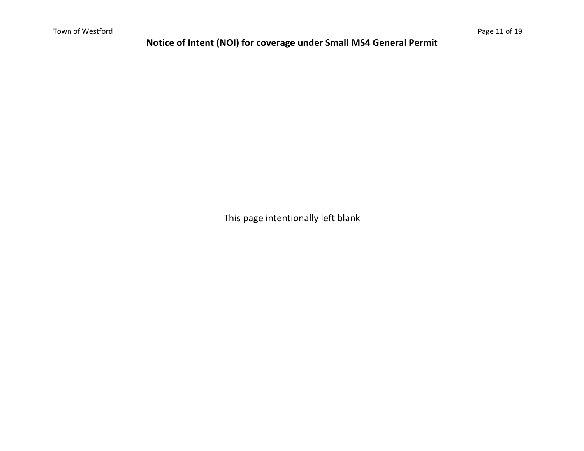This page intentionally left blank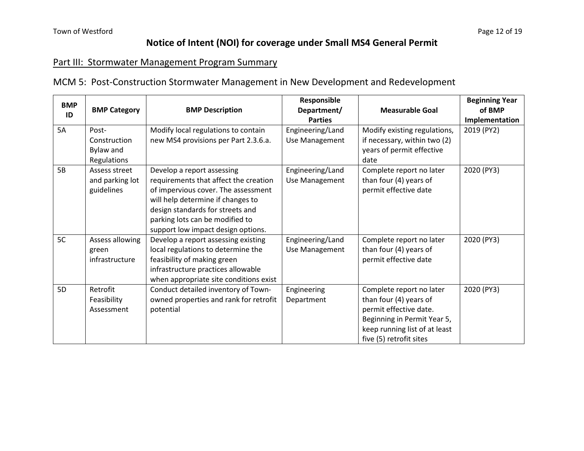## Part III: Stormwater Management Program Summary

# MCM 5: Post-Construction Stormwater Management in New Development and Redevelopment

| <b>BMP</b><br>ID | <b>BMP Category</b>                               | <b>BMP Description</b>                                                                                                                                                                                                                                       | Responsible<br>Department/<br><b>Parties</b> | <b>Measurable Goal</b>                                                                                                                                                  | <b>Beginning Year</b><br>of BMP<br>Implementation |
|------------------|---------------------------------------------------|--------------------------------------------------------------------------------------------------------------------------------------------------------------------------------------------------------------------------------------------------------------|----------------------------------------------|-------------------------------------------------------------------------------------------------------------------------------------------------------------------------|---------------------------------------------------|
| <b>5A</b>        | Post-<br>Construction<br>Bylaw and<br>Regulations | Modify local regulations to contain<br>new MS4 provisions per Part 2.3.6.a.                                                                                                                                                                                  | Engineering/Land<br>Use Management           | Modify existing regulations,<br>if necessary, within two (2)<br>years of permit effective<br>date                                                                       | 2019 (PY2)                                        |
| 5B               | Assess street<br>and parking lot<br>guidelines    | Develop a report assessing<br>requirements that affect the creation<br>of impervious cover. The assessment<br>will help determine if changes to<br>design standards for streets and<br>parking lots can be modified to<br>support low impact design options. | Engineering/Land<br>Use Management           | Complete report no later<br>than four (4) years of<br>permit effective date                                                                                             | 2020 (PY3)                                        |
| 5C               | Assess allowing<br>green<br>infrastructure        | Develop a report assessing existing<br>local regulations to determine the<br>feasibility of making green<br>infrastructure practices allowable<br>when appropriate site conditions exist                                                                     | Engineering/Land<br>Use Management           | Complete report no later<br>than four (4) years of<br>permit effective date                                                                                             | 2020 (PY3)                                        |
| 5D               | Retrofit<br>Feasibility<br>Assessment             | Conduct detailed inventory of Town-<br>owned properties and rank for retrofit<br>potential                                                                                                                                                                   | Engineering<br>Department                    | Complete report no later<br>than four (4) years of<br>permit effective date.<br>Beginning in Permit Year 5,<br>keep running list of at least<br>five (5) retrofit sites | 2020 (PY3)                                        |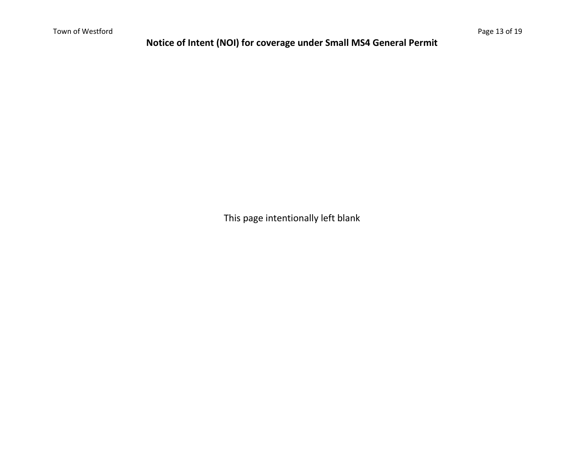This page intentionally left blank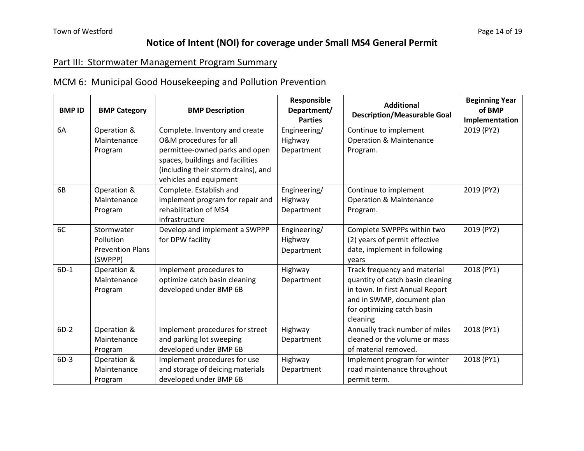## Part III: Stormwater Management Program Summary

# MCM 6: Municipal Good Housekeeping and Pollution Prevention

| <b>BMPID</b> | <b>BMP Category</b>     | <b>BMP Description</b>              | Responsible<br>Department/<br><b>Parties</b> | <b>Additional</b><br><b>Description/Measurable Goal</b>  | <b>Beginning Year</b><br>of BMP<br>Implementation |
|--------------|-------------------------|-------------------------------------|----------------------------------------------|----------------------------------------------------------|---------------------------------------------------|
| 6A           | Operation &             | Complete. Inventory and create      | Engineering/                                 | Continue to implement                                    | 2019 (PY2)                                        |
|              | Maintenance             | O&M procedures for all              | Highway                                      | <b>Operation &amp; Maintenance</b>                       |                                                   |
|              | Program                 | permittee-owned parks and open      | Department                                   | Program.                                                 |                                                   |
|              |                         | spaces, buildings and facilities    |                                              |                                                          |                                                   |
|              |                         | (including their storm drains), and |                                              |                                                          |                                                   |
|              |                         | vehicles and equipment              |                                              |                                                          |                                                   |
| 6B           | Operation &             | Complete. Establish and             | Engineering/                                 | Continue to implement                                    | 2019 (PY2)                                        |
|              | Maintenance             | implement program for repair and    | Highway                                      | <b>Operation &amp; Maintenance</b>                       |                                                   |
|              | Program                 | rehabilitation of MS4               | Department                                   | Program.                                                 |                                                   |
|              |                         | infrastructure                      |                                              |                                                          |                                                   |
| 6C           | Stormwater              | Develop and implement a SWPPP       | Engineering/                                 | Complete SWPPPs within two                               | 2019 (PY2)                                        |
|              | Pollution               | for DPW facility                    | Highway                                      | (2) years of permit effective                            |                                                   |
|              | <b>Prevention Plans</b> |                                     | Department                                   | date, implement in following                             |                                                   |
|              | (SWPPP)                 |                                     |                                              | vears                                                    |                                                   |
| $6D-1$       | Operation &             | Implement procedures to             | Highway                                      | Track frequency and material                             | 2018 (PY1)                                        |
|              | Maintenance             | optimize catch basin cleaning       | Department                                   | quantity of catch basin cleaning                         |                                                   |
|              | Program                 | developed under BMP 6B              |                                              | in town. In first Annual Report                          |                                                   |
|              |                         |                                     |                                              | and in SWMP, document plan<br>for optimizing catch basin |                                                   |
|              |                         |                                     |                                              | cleaning                                                 |                                                   |
| $6D-2$       | Operation &             | Implement procedures for street     | Highway                                      | Annually track number of miles                           | 2018 (PY1)                                        |
|              | Maintenance             | and parking lot sweeping            | Department                                   | cleaned or the volume or mass                            |                                                   |
|              | Program                 | developed under BMP 6B              |                                              | of material removed.                                     |                                                   |
| $6D-3$       | Operation &             | Implement procedures for use        | Highway                                      | Implement program for winter                             | 2018 (PY1)                                        |
|              | Maintenance             | and storage of deicing materials    | Department                                   | road maintenance throughout                              |                                                   |
|              | Program                 | developed under BMP 6B              |                                              | permit term.                                             |                                                   |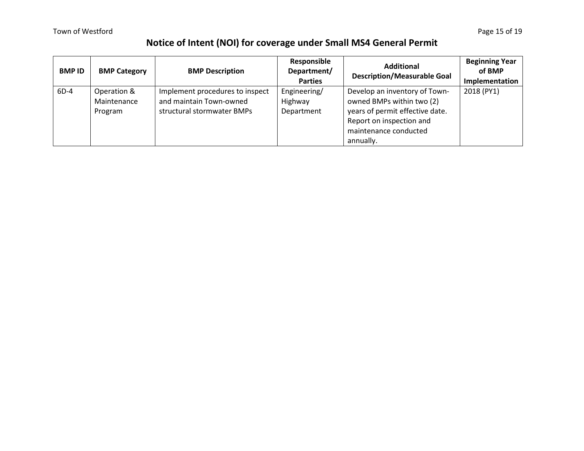| <b>BMPID</b> | <b>BMP Category</b>                   | <b>BMP Description</b>                                                                   | Responsible<br>Department/<br><b>Parties</b> | <b>Additional</b><br><b>Description/Measurable Goal</b>                                                                                                         | <b>Beginning Year</b><br>of BMP<br>Implementation |
|--------------|---------------------------------------|------------------------------------------------------------------------------------------|----------------------------------------------|-----------------------------------------------------------------------------------------------------------------------------------------------------------------|---------------------------------------------------|
| $6D-4$       | Operation &<br>Maintenance<br>Program | Implement procedures to inspect<br>and maintain Town-owned<br>structural stormwater BMPs | Engineering/<br>Highway<br>Department        | Develop an inventory of Town-<br>owned BMPs within two (2)<br>years of permit effective date.<br>Report on inspection and<br>maintenance conducted<br>annually. | 2018 (PY1)                                        |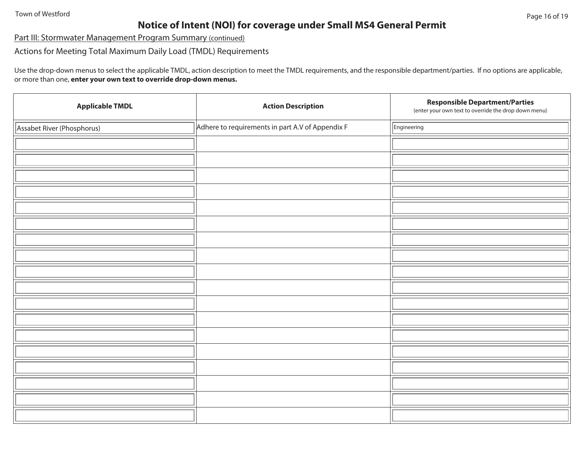#### Town of Westford **Notice of Intent (NOI) for coverage under Small MS4 General Permit**

Part III: Stormwater Management Program Summary (continued)

Actions for Meeting Total Maximum Daily Load (TMDL) Requirements

Use the drop-down menus to select the applicable TMDL, action description to meet the TMDL requirements, and the responsible department/parties. If no options are applicable, or more than one, **enter your own text to override drop-down menus.**

| <b>Applicable TMDL</b>     | <b>Action Description</b>                        | Responsible Department/Parties<br>(enter your own text to override the drop down menu) |
|----------------------------|--------------------------------------------------|----------------------------------------------------------------------------------------|
| Assabet River (Phosphorus) | Adhere to requirements in part A.V of Appendix F | Engineering                                                                            |
|                            |                                                  |                                                                                        |
|                            |                                                  |                                                                                        |
|                            |                                                  |                                                                                        |
|                            |                                                  |                                                                                        |
|                            |                                                  |                                                                                        |
|                            |                                                  |                                                                                        |
|                            |                                                  |                                                                                        |
|                            |                                                  |                                                                                        |
|                            |                                                  |                                                                                        |
|                            |                                                  |                                                                                        |
|                            |                                                  |                                                                                        |
|                            |                                                  |                                                                                        |
|                            |                                                  |                                                                                        |
|                            |                                                  |                                                                                        |
|                            |                                                  |                                                                                        |
|                            |                                                  |                                                                                        |
|                            |                                                  |                                                                                        |
|                            |                                                  |                                                                                        |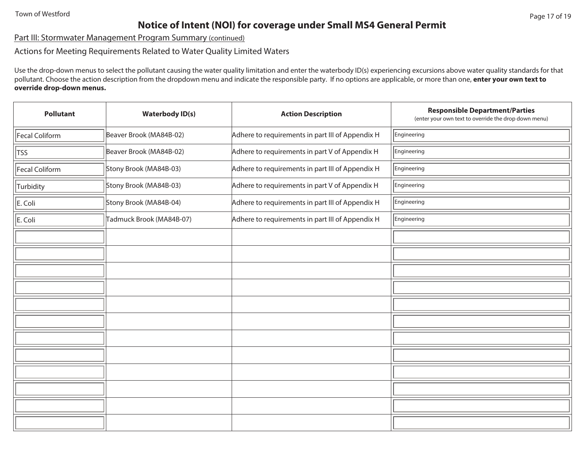#### Town of Westford **Notice of Intent (NOI) for coverage under Small MS4 General Permit**

#### Part III: Stormwater Management Program Summary (continued)

#### Actions for Meeting Requirements Related to Water Quality Limited Waters

Use the drop-down menus to select the pollutant causing the water quality limitation and enter the waterbody ID(s) experiencing excursions above water quality standards for that pollutant. Choose the action description from the dropdown menu and indicate the responsible party. If no options are applicable, or more than one, **enter your own text to override drop-down menus.**

| <b>Pollutant</b> | <b>Waterbody ID(s)</b>   | <b>Action Description</b>                        | <b>Responsible Department/Parties</b><br>(enter your own text to override the drop down menu) |
|------------------|--------------------------|--------------------------------------------------|-----------------------------------------------------------------------------------------------|
| Fecal Coliform   | Beaver Brook (MA84B-02)  | Adhere to requirements in part III of Appendix H | Engineering                                                                                   |
| TSS              | Beaver Brook (MA84B-02)  | Adhere to requirements in part V of Appendix H   | Engineering                                                                                   |
| Fecal Coliform   | Stony Brook (MA84B-03)   | Adhere to requirements in part III of Appendix H | Engineering                                                                                   |
| Turbidity        | Stony Brook (MA84B-03)   | Adhere to requirements in part V of Appendix H   | Engineering                                                                                   |
| E. Coli          | Stony Brook (MA84B-04)   | Adhere to requirements in part III of Appendix H | Engineering                                                                                   |
| E. Coli          | Tadmuck Brook (MA84B-07) | Adhere to requirements in part III of Appendix H | Engineering                                                                                   |
|                  |                          |                                                  |                                                                                               |
|                  |                          |                                                  |                                                                                               |
|                  |                          |                                                  |                                                                                               |
|                  |                          |                                                  |                                                                                               |
|                  |                          |                                                  |                                                                                               |
|                  |                          |                                                  |                                                                                               |
|                  |                          |                                                  |                                                                                               |
|                  |                          |                                                  |                                                                                               |
|                  |                          |                                                  |                                                                                               |
|                  |                          |                                                  |                                                                                               |
|                  |                          |                                                  |                                                                                               |
|                  |                          |                                                  |                                                                                               |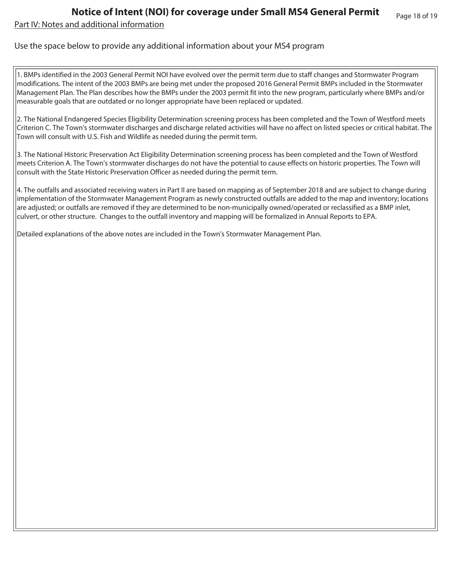## Part IV: Notes and additional information

## Use the space below to provide any additional information about your MS4 program

1. BMPs identified in the 2003 General Permit NOI have evolved over the permit term due to staff changes and Stormwater Program modifications. The intent of the 2003 BMPs are being met under the proposed 2016 General Permit BMPs included in the Stormwater Management Plan. The Plan describes how the BMPs under the 2003 permit fit into the new program, particularly where BMPs and/or measurable goals that are outdated or no longer appropriate have been replaced or updated.

2. The National Endangered Species Eligibility Determination screening process has been completed and the Town of Westford meets Criterion C. The Town's stormwater discharges and discharge related activities will have no affect on listed species or critical habitat. The Town will consult with U.S. Fish and Wildlife as needed during the permit term.

3. The National Historic Preservation Act Eligibility Determination screening process has been completed and the Town of Westford meets Criterion A. The Town's stormwater discharges do not have the potential to cause effects on historic properties. The Town will consult with the State Historic Preservation Officer as needed during the permit term.

4. The outfalls and associated receiving waters in Part II are based on mapping as of September 2018 and are subject to change during implementation of the Stormwater Management Program as newly constructed outfalls are added to the map and inventory; locations are adjusted; or outfalls are removed if they are determined to be non-municipally owned/operated or reclassified as a BMP inlet, culvert, or other structure. Changes to the outfall inventory and mapping will be formalized in Annual Reports to EPA.

Detailed explanations of the above notes are included in the Town's Stormwater Management Plan.